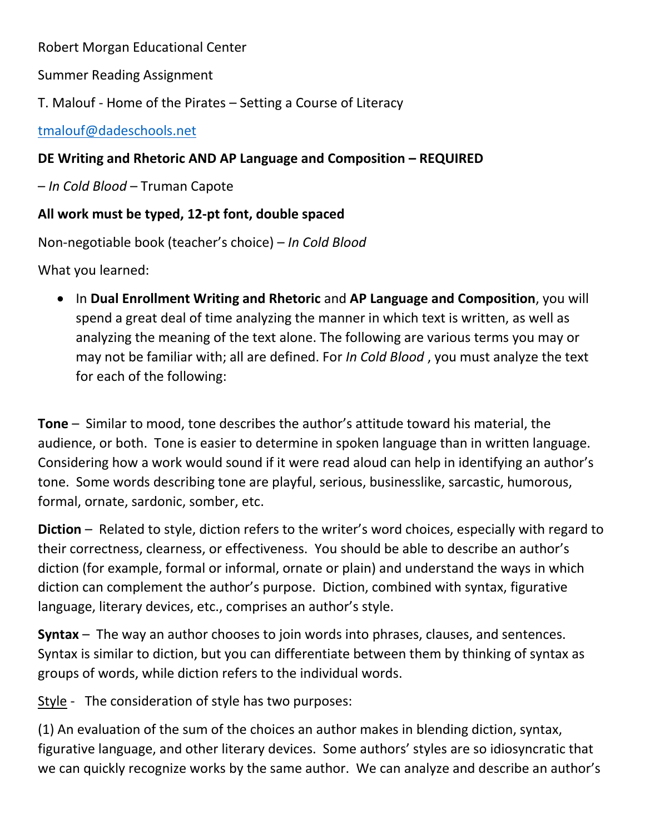Robert Morgan Educational Center

Summer Reading Assignment

T. Malouf - Home of the Pirates – Setting a Course of Literacy

[tmalouf@dadeschools.net](mailto:tmalouf@dadeschools.net)

## **DE Writing and Rhetoric AND AP Language and Composition – REQUIRED**

– *In Cold Blood* – Truman Capote

## **All work must be typed, 12-pt font, double spaced**

Non-negotiable book (teacher's choice) – *In Cold Blood*

What you learned:

 In **Dual Enrollment Writing and Rhetoric** and **AP Language and Composition**, you will spend a great deal of time analyzing the manner in which text is written, as well as analyzing the meaning of the text alone. The following are various terms you may or may not be familiar with; all are defined. For *In Cold Blood* , you must analyze the text for each of the following:

**Tone** – Similar to mood, tone describes the author's attitude toward his material, the audience, or both. Tone is easier to determine in spoken language than in written language. Considering how a work would sound if it were read aloud can help in identifying an author's tone. Some words describing tone are playful, serious, businesslike, sarcastic, humorous, formal, ornate, sardonic, somber, etc.

**Diction** – Related to style, diction refers to the writer's word choices, especially with regard to their correctness, clearness, or effectiveness. You should be able to describe an author's diction (for example, formal or informal, ornate or plain) and understand the ways in which diction can complement the author's purpose. Diction, combined with syntax, figurative language, literary devices, etc., comprises an author's style.

**Syntax** – The way an author chooses to join words into phrases, clauses, and sentences. Syntax is similar to diction, but you can differentiate between them by thinking of syntax as groups of words, while diction refers to the individual words.

Style - The consideration of style has two purposes:

(1) An evaluation of the sum of the choices an author makes in blending diction, syntax, figurative language, and other literary devices. Some authors' styles are so idiosyncratic that we can quickly recognize works by the same author. We can analyze and describe an author's